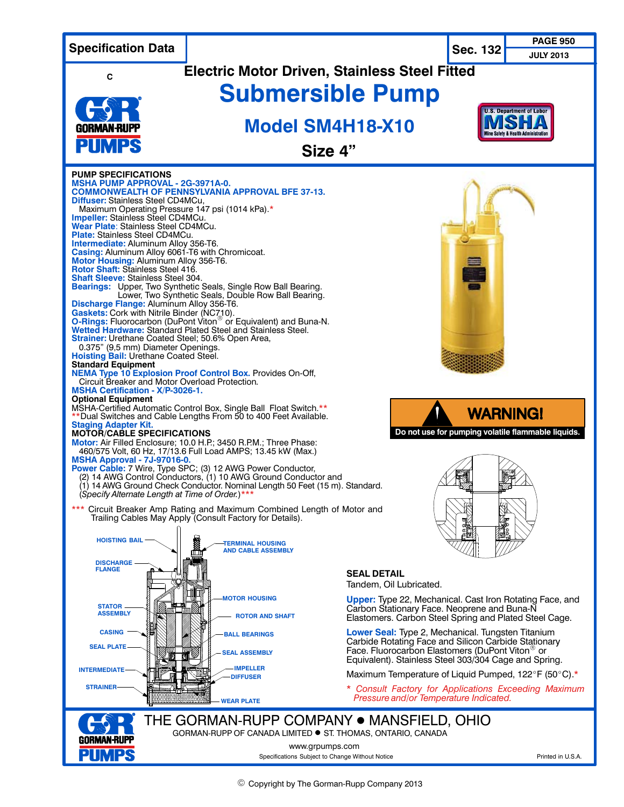